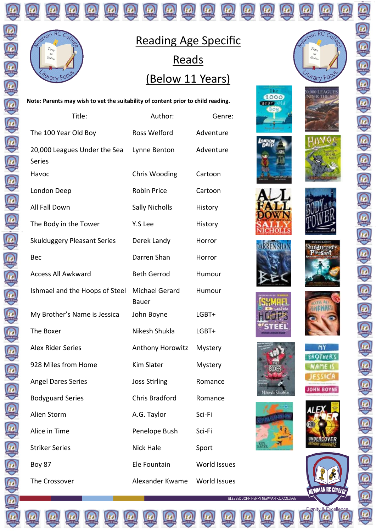

#### Reading Age Specific **Reads** (Below 11 Years)

**Note: Parents may wish to vet the suitability of content prior to child reading.** 

| Title:                                        | Author:               | Genre:       |
|-----------------------------------------------|-----------------------|--------------|
| The 100 Year Old Boy                          | Ross Welford          | Adventure    |
| 20,000 Leagues Under the Sea<br>Series        | Lynne Benton          | Adventure    |
| Havoc                                         | Chris Wooding         | Cartoon      |
| London Deep                                   | <b>Robin Price</b>    | Cartoon      |
| All Fall Down                                 | <b>Sally Nicholls</b> | History      |
| The Body in the Tower                         | Y.S Lee               | History      |
| <b>Skulduggery Pleasant Series</b>            | Derek Landy           | Horror       |
| Bec                                           | Darren Shan           | Horror       |
| <b>Access All Awkward</b>                     | <b>Beth Gerrod</b>    | Humour       |
| Ishmael and the Hoops of Steel Michael Gerard | <b>Bauer</b>          | Humour       |
| My Brother's Name is Jessica                  | John Boyne            | LGBT+        |
| The Boxer                                     | Nikesh Shukla         | LGBT+        |
| Alex Rider Series                             | Anthony Horowitz      | Mystery      |
| 928 Miles from Home                           | <b>Kim Slater</b>     | Mystery      |
| <b>Angel Dares Series</b>                     | <b>Joss Stirling</b>  | Romance      |
| <b>Bodyguard Series</b>                       | <b>Chris Bradford</b> | Romance      |
| Alien Storm                                   | A.G. Taylor           | Sci-Fi       |
| Alice in Time                                 | Penelope Bush         | Sci-Fi       |
| <b>Striker Series</b>                         | <b>Nick Hale</b>      | Sport        |
| Boy 87                                        | Ele Fountain          | World Issues |
| The Crossover                                 | Alexander Kwame       | World Issues |



**0.000 LEAGUES**<br>**NDER THE SE** 









**DARREN SHAN** 













my **BROTHER'S IAME IS ESSICA** 





Q

BLESSED JOHN HENRY NEWMAN R.C. COLLEGE





൹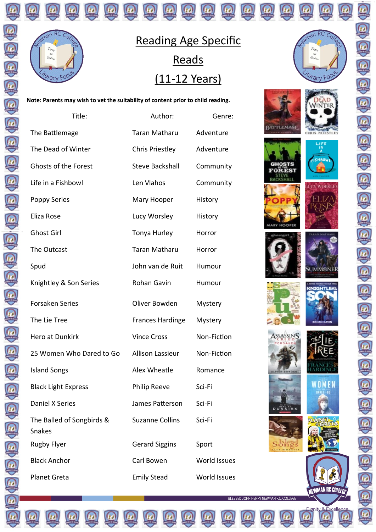

E

 $\overline{a}$ 

## Reading Age Specific **Reads** (11-12 Years)

**Note: Parents may wish to vet the suitability of content prior to child reading.** 

| Title:                              | Author:                 | Genre:              |
|-------------------------------------|-------------------------|---------------------|
| The Battlemage                      | <b>Taran Matharu</b>    | Adventure           |
| The Dead of Winter                  | <b>Chris Priestley</b>  | Adventure           |
| <b>Ghosts of the Forest</b>         | <b>Steve Backshall</b>  | Community           |
| Life in a Fishbowl                  | Len Vlahos              | Community           |
| <b>Poppy Series</b>                 | Mary Hooper             | History             |
| Eliza Rose                          | Lucy Worsley            | History             |
| <b>Ghost Girl</b>                   | Tonya Hurley            | Horror              |
| The Outcast                         | <b>Taran Matharu</b>    | Horror              |
| Spud                                | John van de Ruit        | Humour              |
| Knightley & Son Series              | Rohan Gavin             | Humour              |
| <b>Forsaken Series</b>              | Oliver Bowden           | Mystery             |
| The Lie Tree                        | <b>Frances Hardinge</b> | Mystery             |
| Hero at Dunkirk                     | <b>Vince Cross</b>      | Non-Fiction         |
| 25 Women Who Dared to Go            | <b>Allison Lassieur</b> | Non-Fiction         |
| <b>Island Songs</b>                 | Alex Wheatle            | Romance             |
| <b>Black Light Express</b>          | <b>Philip Reeve</b>     | Sci-Fi              |
| Daniel X Series                     | James Patterson         | Sci-Fi              |
| The Balled of Songbirds &<br>Snakes | <b>Suzanne Collins</b>  | Sci-Fi              |
| <b>Rugby Flyer</b>                  | <b>Gerard Siggins</b>   | Sport               |
| <b>Black Anchor</b>                 | Carl Bowen              | <b>World Issues</b> |
| <b>Planet Greta</b>                 | <b>Emily Stead</b>      | <b>World Issues</b> |



Q













有色色色色色色色色色色色色色色色色色色色色色色色色色











BLESSED JOHN HENRY NEWMAN R.C. COLLEGE



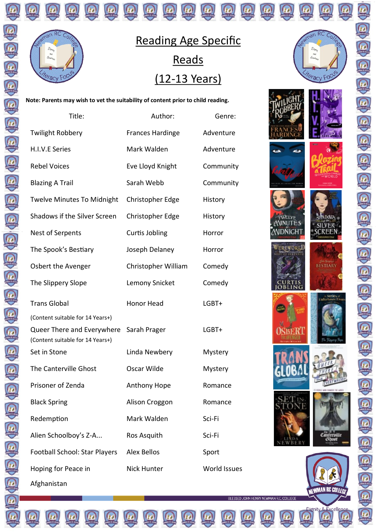

E

 $\overline{a}$ 

Reading Age Specific **Reads** (12-13 Years)

**Note: Parents may wish to vet the suitability of content prior to child reading.** 

| Title:                                                         | Author:                 | Genre:              |
|----------------------------------------------------------------|-------------------------|---------------------|
| <b>Twilight Robbery</b>                                        | <b>Frances Hardinge</b> | Adventure           |
| H.I.V.E Series                                                 | Mark Walden             | Adventure           |
| <b>Rebel Voices</b>                                            | Eve Lloyd Knight        | Community           |
| <b>Blazing A Trail</b>                                         | Sarah Webb              | Community           |
| <b>Twelve Minutes To Midnight</b>                              | Christopher Edge        | History             |
| Shadows if the Silver Screen                                   | Christopher Edge        | History             |
| Nest of Serpents                                               | Curtis Jobling          | Horror              |
| The Spook's Bestiary                                           | Joseph Delaney          | Horror              |
| Osbert the Avenger                                             | Christopher William     | Comedy              |
| The Slippery Slope                                             | Lemony Snicket          | Comedy              |
| <b>Trans Global</b>                                            | <b>Honor Head</b>       | LGBT+               |
| (Content suitable for 14 Years+)                               |                         |                     |
| Queer There and Everywhere<br>(Content suitable for 14 Years+) | Sarah Prager            | LGBT+               |
| Set in Stone                                                   | Linda Newbery           | Mystery             |
| The Canterville Ghost                                          | Oscar Wilde             | Mystery             |
| Prisoner of Zenda                                              | Anthony Hope            | Romance             |
| <b>Black Spring</b>                                            | Alison Croggon          | Romance             |
| Redemption                                                     | Mark Walden             | Sci-Fi              |
| Alien Schoolboy's Z-A                                          | Ros Asquith             | Sci-Fi              |
| Football School: Star Players                                  | <b>Alex Bellos</b>      | Sport               |
| Hoping for Peace in                                            | <b>Nick Hunter</b>      | <b>World Issues</b> |
| Afghanistan                                                    |                         |                     |

an RC Co

eracy Fo

SHADOWS **SILVER** 

**SCREEN** 

BESTIARY

 $\begin{array}{c} \mathcal{L}^{cs}_{\text{interville}} \\ \text{Gipost} \end{array}$ 

NEWMAN RC COLLEGE

ASD

TWELVE

**MDNIGHT** 

WEREWORLD

**CURTIS**<br>**OBLING** 

**OSBERI** 

GLOBAI

BLESSED JOHN HENRY NEWMAN R.C. COLLEGE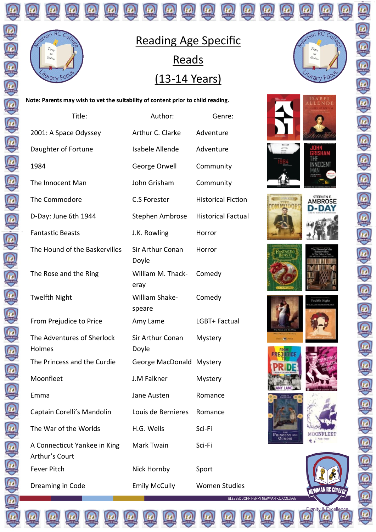

 $\overline{a}$ 

 $C_{O}$ 

## Reading Age Specific **Reads** (13-14 Years)

**Note: Parents may wish to vet the suitability of content prior to child reading.** 

| Title:                                         | Author:                   | Genre:                                                         |  |
|------------------------------------------------|---------------------------|----------------------------------------------------------------|--|
| 2001: A Space Odyssey                          | Arthur C. Clarke          | Adventure                                                      |  |
| Daughter of Fortune                            | Isabele Allende           | Adventure                                                      |  |
| 1984                                           | George Orwell             | Community                                                      |  |
| The Innocent Man                               | John Grisham              | Community                                                      |  |
| The Commodore                                  | C.S Forester              | <b>Historical Fiction</b>                                      |  |
| D-Day: June 6th 1944                           | Stephen Ambrose           | <b>Historical Factual</b>                                      |  |
| <b>Fantastic Beasts</b>                        | J.K. Rowling              | Horror                                                         |  |
| The Hound of the Baskervilles                  | Sir Arthur Conan<br>Doyle | Horror                                                         |  |
| The Rose and the Ring                          | William M. Thack-<br>eray | Comedy                                                         |  |
| <b>Twelfth Night</b>                           | William Shake-<br>speare  | Comedy                                                         |  |
| From Prejudice to Price                        | Amy Lame                  | LGBT+ Factual                                                  |  |
| The Adventures of Sherlock<br>Holmes           | Sir Arthur Conan<br>Doyle | Mystery                                                        |  |
| The Princess and the Curdie                    | George MacDonald Mystery  |                                                                |  |
| Moonfleet                                      | J.M Falkner               | Mystery                                                        |  |
| Emma                                           | Jane Austen               | Romance                                                        |  |
| Captain Corelli's Mandolin                     | Louis de Bernieres        | Romance                                                        |  |
| The War of the Worlds                          | H.G. Wells                | Sci-Fi                                                         |  |
| A Connecticut Yankee in King<br>Arthur's Court | Mark Twain                | Sci-Fi                                                         |  |
| <b>Fever Pitch</b>                             | Nick Hornby               | Sport                                                          |  |
| Dreaming in Code                               | <b>Emily McCully</b>      | <b>Women Studies</b><br>BLESSED JOHN HENRY NEWMAN R.C. COLLEGE |  |



Q)











有色色色色色色色色色色色色色色色色色色色色色色色色色











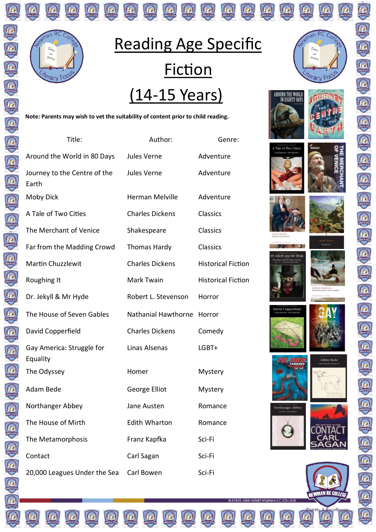

# Reading Age Specific **Fiction** (14-15 Years)

**Note: Parents may wish to vet the suitability of content prior to child reading.** 

 $\left(\mathbb{D}\right)\left(\mathbb{D}\right)\left(\mathbb{D}\right)$ 

6

(5) (5) (5) (5) (5) (5)

| Title:                                | Author:                | Genre:                    |
|---------------------------------------|------------------------|---------------------------|
| Around the World in 80 Days           | Jules Verne            | Adventure                 |
| Journey to the Centre of the<br>Earth | Jules Verne            | Adventure                 |
| Moby Dick                             | <b>Herman Melville</b> | Adventure                 |
| A Tale of Two Cities                  | <b>Charles Dickens</b> | <b>Classics</b>           |
| The Merchant of Venice                | Shakespeare            | Classics                  |
| Far from the Madding Crowd            | <b>Thomas Hardy</b>    | Classics                  |
| <b>Martin Chuzzlewit</b>              | <b>Charles Dickens</b> | <b>Historical Fiction</b> |
| Roughing It                           | Mark Twain             | <b>Historical Fiction</b> |
| Dr. Jekyll & Mr Hyde                  | Robert L. Stevenson    | Horror                    |
| The House of Seven Gables             | Nathanial Hawthorne    | Horror                    |
| David Copperfield                     | <b>Charles Dickens</b> | Comedy                    |
| Gay America: Struggle for<br>Equality | Linas Alsenas          | LGBT+                     |
| The Odyssey                           | Homer                  | Mystery                   |
| Adam Bede                             | George Elliot          | Mystery                   |
| Northanger Abbey                      | Jane Austen            | Romance                   |
| The House of Mirth                    | <b>Edith Wharton</b>   | Romance                   |
| The Metamorphosis                     | Franz Kapfka           | Sci-Fi                    |
| Contact                               | Carl Sagan             | Sci-Fi                    |
| 20,000 Leagues Under the Sea          | Carl Bowen             | Sci-Fi                    |